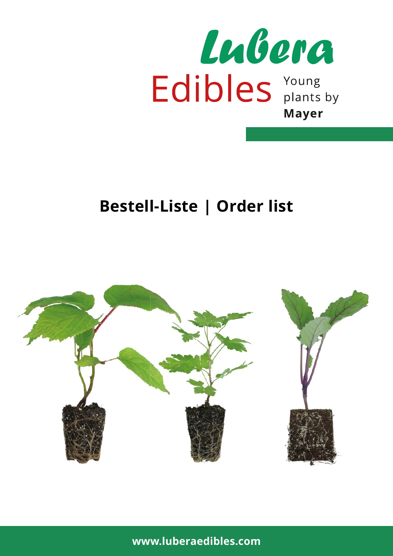

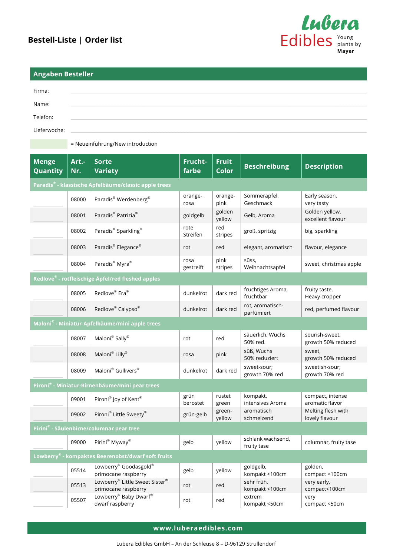

growth 50% reduced

growth 50% reduced

sweetish-sour; growth 70% red

compact, intense aromatic flavor

Melting flesh with lovely flavour

compact <100cm

compact <50cm

sweet,

schlank wachsend,<br>  $\begin{array}{|c|c|c|c|c|}\n\hline\n\text{columnar, fruity tase}\n\end{array}$ 

golden,

very

very early, compact<100cm

| <b>Angaben Besteller</b>                    |        |                                                      |                   |                  |                                |                                     |
|---------------------------------------------|--------|------------------------------------------------------|-------------------|------------------|--------------------------------|-------------------------------------|
| Firma:<br>Name:<br>Telefon:<br>Lieferwoche: |        | = Neueinführung/New introduction                     |                   |                  |                                |                                     |
| <b>Menge</b>                                | Art .- | <b>Sorte</b>                                         | Frucht-           | <b>Fruit</b>     |                                |                                     |
| Quantity                                    | Nr.    | <b>Variety</b>                                       | farbe             | <b>Color</b>     | <b>Beschreibung</b>            | <b>Description</b>                  |
|                                             |        | Paradis® - klassische Apfelbäume/classic apple trees |                   |                  |                                |                                     |
|                                             | 08000  | Paradis® Werdenberg®                                 | orange-<br>rosa   | orange-<br>pink  | Sommerapfel,<br>Geschmack      | Early season,<br>very tasty         |
|                                             | 08001  | Paradis <sup>®</sup> Patrizia <sup>®</sup>           | goldgelb          | golden<br>yellow | Gelb, Aroma                    | Golden yellow,<br>excellent flavour |
|                                             | 08002  | Paradis <sup>®</sup> Sparkling <sup>®</sup>          | rote<br>Streifen  | red<br>stripes   | groß, spritzig                 | big, sparkling                      |
|                                             | 08003  | Paradis® Elegance®                                   | rot               | red              | elegant, aromatisch            | flavour, elegance                   |
|                                             | 08004  | Paradis <sup>®</sup> Myra <sup>®</sup>               | rosa<br>gestreift | pink<br>stripes  | süss,<br>Weihnachtsapfel       | sweet, christmas apple              |
|                                             |        | Redlove® - rotfleischige Äpfel/red fleshed apples    |                   |                  |                                |                                     |
|                                             | 08005  | Redlove® Era®                                        | dunkelrot         | dark red         | fruchtiges Aroma,<br>fruchtbar | fruity taste,<br>Heavy cropper      |
|                                             | 08006  | Redlove® Calypso®                                    | dunkelrot         | dark red         | rot, aromatisch-<br>parfümiert | red, perfumed flavour               |
|                                             |        | Maloni® - Miniatur-Apfelbäume/mini apple trees       |                   |                  |                                |                                     |
|                                             |        |                                                      |                   | $\mathbf{r}$     | säuerlich, Wuchs               | sourish-sweet,                      |

50% red.

kompakt, intensives Aroma

aromatisch schmelzend

kompakt <100cm

kompakt <100cm

kompakt <50cm

50% reduziert

growth 70% red

\_\_\_\_\_\_\_\_\_\_ <sup>08007</sup> Maloni® Sally® rot red säuerlich, Wuchs

osoo9 Maloni® Gullivers® dunkelrot dark red sweet-sour;

\_\_\_\_\_\_\_\_\_\_ <sup>08008</sup> Maloni® Lilly® rosa pink süß, Wuchs

09002 Pironi® Little Sweety® grün-gelb  $\left| \right.$  green-

end to the Sweet Sister® and the sweet Sister of the sehr früh, the sehr früh, sehr früh, sehr früh, sehr früh<br>Primocane raspberry rot sehr kompakt <

\_\_\_\_\_\_\_\_\_\_ <sup>05507</sup> Lowberry® Baby Dwarf® dwarf raspberry rot red extrem

\_\_\_\_\_\_\_\_\_\_ <sup>09000</sup> Pirini® Myway® gelb yellow schlank wachsend,

09001 Pironi® Joy of Kent® grün

**Pironi® - Miniatur-Birnenbäume/mini pear trees**

**Lowberry® - kompaktes Beerenobst/dwarf soft fruits**

05514 Lowberry® Goodasgold®

**Pirini® - Säulenbirne/columnar pear tree**

**www.luberaedibles.com**

Lowberry<sup>®</sup> Goodasgold<sup>®</sup> and gelb yellow goldgelb, gelb yellow goldgelb, goldgelb, goldgelb, goldgelb, goldgelb, goldgelb, goldgelb, goldgelb, goldgelb, goldgelb, goldgelb, goldgelb, goldgelb, goldgelb, goldgelb, goldgelb

berostet

rustet green

yellow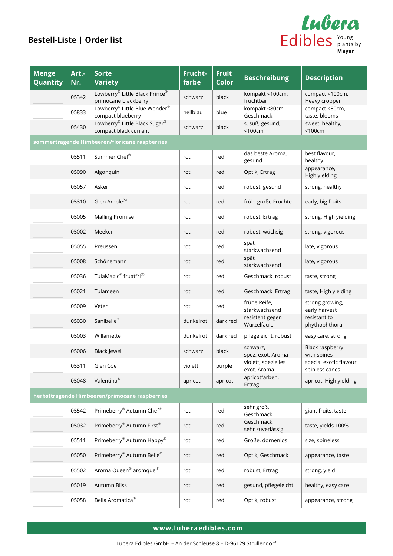

| <b>Menge</b><br>Quantity                       | Art .-<br>Nr. | <b>Sorte</b><br><b>Variety</b>                         | Frucht-<br>farbe | <b>Fruit</b><br>Color | <b>Beschreibung</b>                | <b>Description</b>                        |  |  |  |
|------------------------------------------------|---------------|--------------------------------------------------------|------------------|-----------------------|------------------------------------|-------------------------------------------|--|--|--|
|                                                | 05342         | Lowberry® Little Black Prince®<br>primocane blackberry | schwarz          | black                 | kompakt <100cm;<br>fruchtbar       | compact <100cm,<br>Heavy cropper          |  |  |  |
|                                                | 05833         | Lowberry® Little Blue Wonder®<br>compact blueberry     | hellblau         | blue                  | kompakt <80cm,<br>Geschmack        | compact <80cm,<br>taste, blooms           |  |  |  |
|                                                | 05430         | Lowberry® Little Black Sugar®<br>compact black currant | schwarz          | black                 | s. süß, gesund,<br>$<$ 100 $cm$    | sweet, healthy,<br>$<$ 100 $cm$           |  |  |  |
| sommertragende Himbeeren/floricane raspberries |               |                                                        |                  |                       |                                    |                                           |  |  |  |
|                                                | 05511         | Summer Chef®                                           | rot              | red                   | das beste Aroma,<br>gesund         | best flavour,<br>healthy                  |  |  |  |
|                                                | 05090         | Algonquin                                              | rot              | red                   | Optik, Ertrag                      | appearance,<br>High yielding              |  |  |  |
|                                                | 05057         | Asker                                                  | rot              | red                   | robust, gesund                     | strong, healthy                           |  |  |  |
|                                                | 05310         | Glen Ample <sup>(S)</sup>                              | rot              | red                   | früh, große Früchte                | early, big fruits                         |  |  |  |
|                                                | 05005         | <b>Malling Promise</b>                                 | rot              | red                   | robust, Ertrag                     | strong, High yielding                     |  |  |  |
|                                                | 05002         | Meeker                                                 | rot              | red                   | robust, wüchsig                    | strong, vigorous                          |  |  |  |
|                                                | 05055         | Preussen                                               | rot              | red                   | spät,<br>starkwachsend             | late, vigorous                            |  |  |  |
|                                                | 05008         | Schönemann                                             | rot              | red                   | spät,<br>starkwachsend             | late, vigorous                            |  |  |  |
|                                                | 05036         | TulaMagic <sup>®</sup> fruatfri <sup>(S)</sup>         | rot              | red                   | Geschmack, robust                  | taste, strong                             |  |  |  |
|                                                | 05021         | Tulameen                                               | rot              | red                   | Geschmack, Ertrag                  | taste, High yielding                      |  |  |  |
|                                                | 05009         | Veten                                                  | rot              | red                   | frühe Reife,<br>starkwachsend      | strong growing,<br>early harvest          |  |  |  |
|                                                | 05030         | Sanibelle®                                             | dunkelrot        | dark red              | resistent gegen<br>Wurzelfäule     | resistant to<br>phythophthora             |  |  |  |
|                                                | 05003         | Willamette                                             | dunkelrot        | dark red              | pflegeleicht, robust               | easy care, strong                         |  |  |  |
|                                                | 05006         | <b>Black Jewel</b>                                     | schwarz          | black                 | schwarz,<br>spez. exot. Aroma      | <b>Black raspberry</b><br>with spines     |  |  |  |
|                                                | 05311         | Glen Coe                                               | violett          | purple                | violett, spezielles<br>exot. Aroma | special exotic flavour,<br>spinless canes |  |  |  |
|                                                | 05048         | Valentina <sup>®</sup>                                 | apricot          | apricot               | apricotfarben,<br>Ertrag           | apricot, High yielding                    |  |  |  |
|                                                |               | herbsttragende Himbeeren/primocane raspberries         |                  |                       |                                    |                                           |  |  |  |
|                                                | 05542         | Primeberry® Autumn Chef®                               | rot              | red                   | sehr groß,<br>Geschmack            | giant fruits, taste                       |  |  |  |
|                                                | 05032         | Primeberry® Autumn First®                              | rot              | red                   | Geschmack,<br>sehr zuverlässig     | taste, yields 100%                        |  |  |  |
|                                                | 05511         | Primeberry® Autumn Happy®                              | rot              | red                   | Größe, dornenlos                   | size, spineless                           |  |  |  |
|                                                | 05050         | Primeberry® Autumn Belle®                              | rot              | red                   | Optik, Geschmack                   | appearance, taste                         |  |  |  |
|                                                | 05502         | Aroma Queen <sup>®</sup> aromque <sup>(S)</sup>        | rot              | red                   | robust, Ertrag                     | strong, yield                             |  |  |  |
|                                                | 05019         | Autumn Bliss                                           | rot              | red                   | gesund, pflegeleicht               | healthy, easy care                        |  |  |  |
|                                                | 05058         | Bella Aromatica <sup>®</sup>                           | rot              | red                   | Optik, robust                      | appearance, strong                        |  |  |  |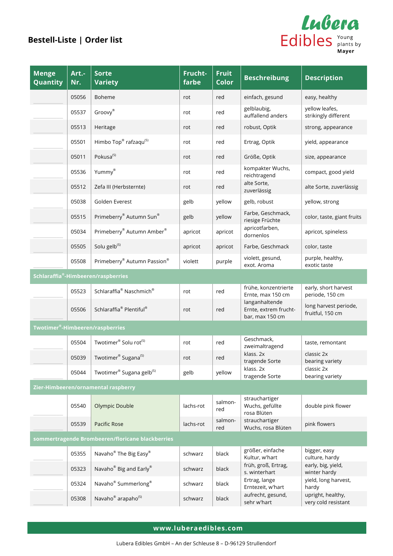

| <b>Menge</b><br>Quantity                        | Art .-<br>Nr. | <b>Sorte</b><br><b>Variety</b>                   | Frucht-<br>farbe | <b>Fruit</b><br><b>Color</b> | <b>Beschreibung</b>                                        | <b>Description</b>                        |  |
|-------------------------------------------------|---------------|--------------------------------------------------|------------------|------------------------------|------------------------------------------------------------|-------------------------------------------|--|
|                                                 | 05056         | Boheme                                           | rot              | red                          | einfach, gesund                                            | easy, healthy                             |  |
|                                                 | 05537         | Groovy®                                          | rot              | red                          | gelblaubig,<br>auffallend anders                           | yellow leafes,<br>strikingly different    |  |
|                                                 | 05513         | Heritage                                         | rot              | red                          | robust, Optik                                              | strong, appearance                        |  |
|                                                 | 05501         | Himbo Top® rafzaqu <sup>(S)</sup>                | rot              | red                          | Ertrag, Optik                                              | yield, appearance                         |  |
|                                                 | 05011         | Pokusa <sup>(S)</sup>                            | rot              | red                          | Größe, Optik                                               | size, appearance                          |  |
|                                                 | 05536         | Yummy®                                           | rot              | red                          | kompakter Wuchs,<br>reichtragend                           | compact, good yield                       |  |
|                                                 | 05512         | Zefa III (Herbsternte)                           | rot              | red                          | alte Sorte,<br>zuverlässig                                 | alte Sorte, zuverlässig                   |  |
|                                                 | 05038         | Golden Everest                                   | gelb             | yellow                       | gelb, robust                                               | yellow, strong                            |  |
|                                                 | 05515         | Primeberry® Autumn Sun®                          | gelb             | yellow                       | Farbe, Geschmack,<br>riesige Früchte                       | color, taste, giant fruits                |  |
|                                                 | 05034         | Primeberry® Autumn Amber®                        | apricot          | apricot                      | apricotfarben,<br>dornenlos                                | apricot, spineless                        |  |
|                                                 | 05505         | Solu gelb <sup>(S)</sup>                         | apricot          | apricot                      | Farbe, Geschmack                                           | color, taste                              |  |
|                                                 | 05508         | Primeberry® Autumn Passion®                      | violett          | purple                       | violett, gesund,<br>exot. Aroma                            | purple, healthy,<br>exotic taste          |  |
| Schlaraffia <sup>®</sup> -Himbeeren/raspberries |               |                                                  |                  |                              |                                                            |                                           |  |
|                                                 | 05523         | Schlaraffia® Naschmich®                          | rot              | red                          | frühe, konzentrierte<br>Ernte, max 150 cm                  | early, short harvest<br>periode, 150 cm   |  |
|                                                 | 05506         | Schlaraffia <sup>®</sup> Plentiful <sup>®</sup>  | rot              | red                          | langanhaltende<br>Ernte, extrem frucht-<br>bar, max 150 cm | long harvest periode,<br>fruitful, 150 cm |  |
|                                                 |               | Twotimer®-Himbeeren/raspberries                  |                  |                              |                                                            |                                           |  |
|                                                 | 05504         | Twotimer® Solu rot <sup>(S)</sup>                | rot              | red                          | Geschmack,<br>zweimaltragend                               | taste, remontant                          |  |
|                                                 | 05039         | Twotimer® Sugana <sup>(S)</sup>                  | rot              | red                          | klass. 2x<br>tragende Sorte                                | classic 2x<br>bearing variety             |  |
|                                                 | 05044         | Twotimer® Sugana gelb <sup>(S)</sup>             | gelb             | yellow                       | klass. 2x<br>tragende Sorte                                | classic 2x<br>bearing variety             |  |
|                                                 |               | Zier-Himbeeren/ornamental raspberry              |                  |                              |                                                            |                                           |  |
|                                                 | 05540         | <b>Olympic Double</b>                            | lachs-rot        | salmon-<br>red               | strauchartiger<br>Wuchs, gefüllte<br>rosa Blüten           | double pink flower                        |  |
|                                                 | 05539         | Pacific Rose                                     | lachs-rot        | salmon-<br>red               | strauchartiger<br>Wuchs, rosa Blüten                       | pink flowers                              |  |
|                                                 |               | sommertragende Brombeeren/floricane blackberries |                  |                              |                                                            |                                           |  |
|                                                 | 05355         | Navaho <sup>®</sup> The Big Easy <sup>®</sup>    | schwarz          | black                        | größer, einfache<br>Kultur, w'hart                         | bigger, easy<br>culture, hardy            |  |
|                                                 | 05323         | Navaho <sup>®</sup> Big and Early®               | schwarz          | black                        | früh, groß, Ertrag,<br>s. winterhart                       | early, big, yield,<br>winter hardy        |  |
|                                                 | 05324         | Navaho <sup>®</sup> Summerlong <sup>®</sup>      | schwarz          | black                        | Ertrag, lange<br>Erntezeit, w'hart                         | yield, long harvest,<br>hardy             |  |
|                                                 | 05308         | Navaho <sup>®</sup> arapaho <sup>(S)</sup>       | schwarz          | black                        | aufrecht, gesund,<br>sehr w'hart                           | upright, healthy,<br>very cold resistant  |  |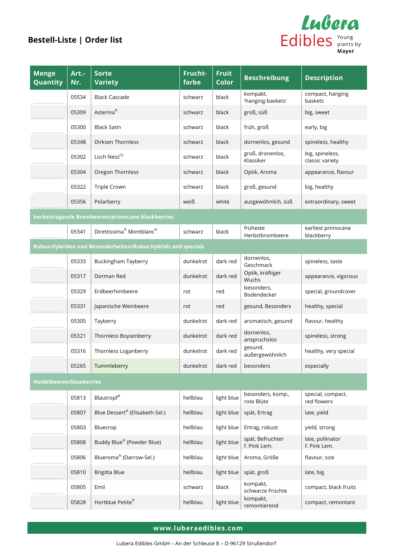

| <b>Menge</b><br>Quantity        | Art .-<br>Nr. | <b>Sorte</b><br><b>Variety</b>                               | Frucht-<br>farbe | <b>Fruit</b><br><b>Color</b> | <b>Beschreibung</b>              | <b>Description</b>                 |
|---------------------------------|---------------|--------------------------------------------------------------|------------------|------------------------------|----------------------------------|------------------------------------|
|                                 | 05534         | <b>Black Cascade</b>                                         | schwarz          | black                        | kompakt,<br>'hanging-baskets'    | compact, hanging<br>baskets        |
|                                 | 05309         | Asterina <sup>®</sup>                                        | schwarz          | black                        | groß, süß                        | big, sweet                         |
|                                 | 05300         | <b>Black Satin</b>                                           | schwarz          | black                        | früh, groß                       | early, big                         |
|                                 | 05348         | Dirksen Thornless                                            | schwarz          | black                        | dornenlos, gesund                | spineless, healthy                 |
|                                 | 05302         | Loch Ness <sup>(S)</sup>                                     | schwarz          | black                        | groß, dronenlos,<br>Klassiker    | big, spineless,<br>classic variety |
|                                 | 05304         | Oregon Thornless                                             | schwarz          | black                        | Optik, Aroma                     | appearance, flavour                |
|                                 | 05322         | Triple Crown                                                 | schwarz          | black                        | groß, gesund                     | big, healthy                       |
|                                 | 05356         | Polarberry                                                   | weiß             | white                        | ausgewöhnlich, süß               | extraordinary, sweet               |
|                                 |               | herbsttragende Brombeeren/primocane blackberries             |                  |                              |                                  |                                    |
|                                 | 05341         | Direttissima <sup>®</sup> Montblanc <sup>®</sup>             | schwarz          | black                        | früheste<br>Herbstbrombeere      | earliest primocane<br>blackberry   |
|                                 |               | Rubus-Hybriden und Besonderheiten/Rubus hybrids and specials |                  |                              |                                  |                                    |
|                                 | 05333         | <b>Buckingham Tayberry</b>                                   | dunkelrot        | dark red                     | dornenlos,<br>Geschmack          | spineless, taste                   |
|                                 | 05317         | Dorman Red                                                   | dunkelrot        | dark red                     | Optik, kräftiger<br>Wuchs        | appearance, vigorous               |
|                                 | 05329         | Erdbeerhimbeere                                              | rot              | red                          | besonders,<br>Bodendecker        | special, groundcover               |
|                                 | 05331         | Japanische Weinbeere                                         | rot              | red                          | gesund, Besonders                | healthy, special                   |
|                                 | 05305         | Tayberry                                                     | dunkelrot        | dark red                     | aromatisch, gesund               | flavour, healthy                   |
|                                 | 05321         | Thornless Boysenberry                                        | dunkelrot        | dark red                     | dornenlos,<br>anspruchslos       | spineless, strong                  |
|                                 | 05316         | Thornless Loganberry                                         | dunkelrot        | dark red                     | gesund,<br>außergewöhnlich       | healthy, very special              |
|                                 | 05265         | Tummleberry                                                  | dunkelrot        | dark red                     | besonders                        | especially                         |
| <b>Heidelbeeren/blueberries</b> |               |                                                              |                  |                              |                                  |                                    |
|                                 | 05813         | <b>Blautropf®</b>                                            | hellblau         | light blue                   | besonders, komp.,<br>rote Blüte  | special, compact,<br>red flowers   |
|                                 | 05807         | Blue Dessert® (Elisabeth-Sel.)                               | hellblau         | light blue                   | spät, Ertrag                     | late, yield                        |
|                                 | 05803         | Bluecrop                                                     | hellblau         | light blue                   | Ertrag, robust                   | yield, strong                      |
|                                 | 05808         | Buddy Blue® (Powder Blue)                                    | hellblau         | light blue                   | spät, Befruchter<br>f. Pink Lem. | late, pollinator<br>f. Pink Lem.   |
|                                 | 05806         | Blueroma <sup>®</sup> (Darrow-Sel.)                          | hellblau         | light blue                   | Aroma, Größe                     | flavour, size                      |
|                                 | 05810         | Brigitta Blue                                                | hellblau         | light blue                   | spät, groß                       | late, big                          |
|                                 | 05805         | Emil                                                         | schwarz          | black                        | kompakt,<br>schwarze Früchte     | compact, black fruits              |
|                                 | 05828         | Hortblue Petite®                                             | hellblau         | light blue                   | kompakt,<br>remontierend         | compact, remontant                 |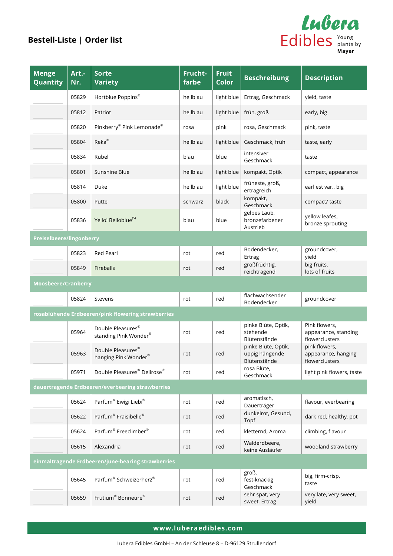

| <b>Menge</b><br>Quantity   | Art .-<br>Nr. | <b>Sorte</b><br><b>Variety</b>                     | Frucht-<br>farbe | <b>Fruit</b><br>Color | <b>Beschreibung</b>                                   | <b>Description</b>                                      |
|----------------------------|---------------|----------------------------------------------------|------------------|-----------------------|-------------------------------------------------------|---------------------------------------------------------|
|                            | 05829         | Hortblue Poppins®                                  | hellblau         | light blue            | Ertrag, Geschmack                                     | yield, taste                                            |
|                            | 05812         | Patriot                                            | hellblau         | light blue            | früh, groß                                            | early, big                                              |
|                            | 05820         | Pinkberry® Pink Lemonade®                          | rosa             | pink                  | rosa, Geschmack                                       | pink, taste                                             |
|                            | 05804         | Reka®                                              | hellblau         | light blue            | Geschmack, früh                                       | taste, early                                            |
|                            | 05834         | Rubel                                              | blau             | blue                  | intensiver<br>Geschmack                               | taste                                                   |
|                            | 05801         | Sunshine Blue                                      | hellblau         | light blue            | kompakt, Optik                                        | compact, appearance                                     |
|                            | 05814         | Duke                                               | hellblau         | light blue            | früheste, groß,<br>ertragreich                        | earliest var., big                                      |
|                            | 05800         | Putte                                              | schwarz          | black                 | kompakt,<br>Geschmack                                 | compact/ taste                                          |
|                            | 05836         | Yello! Belloblue <sup>(S)</sup>                    | blau             | blue                  | gelbes Laub,<br>bronzefarbener<br>Austrieb            | yellow leafes,<br>bronze sprouting                      |
| Preiselbeere/lingonberry   |               |                                                    |                  |                       |                                                       |                                                         |
|                            | 05823         | <b>Red Pearl</b>                                   | rot              | red                   | Bodendecker,<br>Ertrag                                | groundcover,<br>yield                                   |
|                            | 05849         | Fireballs                                          | rot              | red                   | großfrüchtig,<br>reichtragend                         | big fruits,<br>lots of fruits                           |
| <b>Moosbeere/Cranberry</b> |               |                                                    |                  |                       |                                                       |                                                         |
|                            | 05824         | Stevens                                            | rot              | red                   | flachwachsender<br>Bodendecker                        | groundcover                                             |
|                            |               | rosablühende Erdbeeren/pink flowering strawberries |                  |                       |                                                       |                                                         |
|                            | 05964         | Double Pleasures®<br>standing Pink Wonder®         | rot              | red                   | pinke Blüte, Optik,<br>stehende<br>Blütenstände       | Pink flowers,<br>appearance, standing<br>flowerclusters |
|                            | 05963         | Double Pleasures®<br>hanging Pink Wonder®          | rot              | red                   | pinke Blüte, Optik,<br>üppig hängende<br>Blütenstände | pink flowers,<br>appearance, hanging<br>flowerclusters  |
|                            | 05971         | Double Pleasures® Delirose®                        | rot              | red                   | rosa Blüte,<br>Geschmack                              | light pink flowers, taste                               |
|                            |               | dauertragende Erdbeeren/everbearing strawberries   |                  |                       |                                                       |                                                         |
|                            | 05624         | Parfum® Ewigi Liebi®                               | rot              | red                   | aromatisch,<br>Dauerträger                            | flavour, everbearing                                    |
|                            | 05622         | Parfum <sup>®</sup> Fraisibelle®                   | rot              | red                   | dunkelrot, Gesund,<br>Topf                            | dark red, healthy, pot                                  |
|                            | 05624         | Parfum <sup>®</sup> Freeclimber <sup>®</sup>       | rot              | red                   | kletternd, Aroma                                      | climbing, flavour                                       |
|                            | 05615         | Alexandria                                         | rot              | red                   | Walderdbeere,<br>keine Ausläufer                      | woodland strawberry                                     |
|                            |               | einmaltragende Erdbeeren/june-bearing strawberries |                  |                       |                                                       |                                                         |
|                            | 05645         | Parfum <sup>®</sup> Schweizerherz®                 | rot              | red                   | groß,<br>fest-knackig<br>Geschmack                    | big, firm-crisp,<br>taste                               |
|                            | 05659         | Frutium <sup>®</sup> Bonneure®                     | rot              | red                   | sehr spät, very<br>sweet, Ertrag                      | very late, very sweet,<br>yield                         |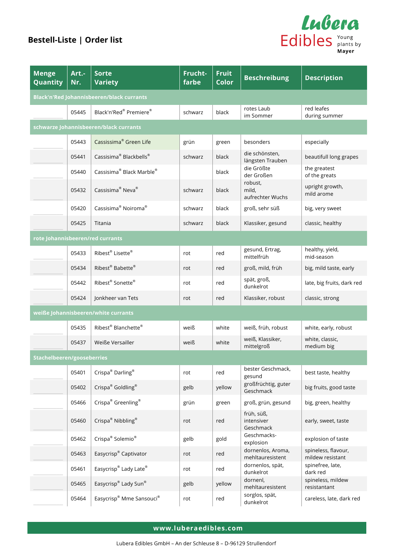

| <b>Menge</b><br>Quantity                         | Art .-<br>Nr. | <b>Sorte</b><br><b>Variety</b>                   | Frucht-<br>farbe | <b>Fruit</b><br><b>Color</b> | <b>Beschreibung</b>                   | <b>Description</b>                      |  |
|--------------------------------------------------|---------------|--------------------------------------------------|------------------|------------------------------|---------------------------------------|-----------------------------------------|--|
| <b>Black'n'Red Johannisbeeren/black currants</b> |               |                                                  |                  |                              |                                       |                                         |  |
|                                                  | 05445         | Black'n'Red® Premiere®                           | schwarz          | black                        | rotes Laub<br>im Sommer               | red leafes<br>during summer             |  |
|                                                  |               | schwarze Johannisbeeren/black currants           |                  |                              |                                       |                                         |  |
|                                                  | 05443         | Cassissima <sup>®</sup> Green Life               | grün             | green                        | besonders                             | especially                              |  |
|                                                  | 05441         | Cassisima <sup>®</sup> Blackbells <sup>®</sup>   | schwarz          | black                        | die schönsten,<br>längsten Trauben    | beautifull long grapes                  |  |
|                                                  | 05440         | Cassisima <sup>®</sup> Black Marble <sup>®</sup> |                  | black                        | die Größte<br>der Großen              | the greatest<br>of the greats           |  |
|                                                  | 05432         | Cassisima <sup>®</sup> Neva <sup>®</sup>         | schwarz          | black                        | robust,<br>mild,<br>aufrechter Wuchs  | upright growth,<br>mild arome           |  |
|                                                  | 05420         | Cassisima <sup>®</sup> Noiroma <sup>®</sup>      | schwarz          | black                        | groß, sehr süß                        | big, very sweet                         |  |
|                                                  | 05425         | Titania                                          | schwarz          | black                        | Klassiker, gesund                     | classic, healthy                        |  |
| rote Johannisbeeren/red currants                 |               |                                                  |                  |                              |                                       |                                         |  |
|                                                  | 05433         | Ribest® Lisette®                                 | rot              | red                          | gesund, Ertrag,<br>mittelfrüh         | healthy, yield,<br>mid-season           |  |
|                                                  | 05434         | Ribest® Babette®                                 | rot              | red                          | groß, mild, früh                      | big, mild taste, early                  |  |
|                                                  | 05442         | Ribest <sup>®</sup> Sonette®                     | rot              | red                          | spät, groß,<br>dunkelrot              | late, big fruits, dark red              |  |
|                                                  | 05424         | Jonkheer van Tets                                | rot              | red                          | Klassiker, robust                     | classic, strong                         |  |
|                                                  |               | weiße Johannisbeeren/white currants              |                  |                              |                                       |                                         |  |
|                                                  | 05435         | Ribest <sup>®</sup> Blanchette®                  | weiß             | white                        | weiß, früh, robust                    | white, early, robust                    |  |
|                                                  | 05437         | Weiße Versailler                                 | weiß             | white                        | weiß, Klassiker,<br>mittelgroß        | white, classic,<br>medium big           |  |
| Stachelbeeren/gooseberries                       |               |                                                  |                  |                              |                                       |                                         |  |
|                                                  | 05401         | Crispa <sup>®</sup> Darling <sup>®</sup>         | rot              | red                          | bester Geschmack,<br>gesund           | best taste, healthy                     |  |
|                                                  | 05402         | Crispa® Goldling®                                | gelb             | yellow                       | großfrüchtig, guter<br>Geschmack      | big fruits, good taste                  |  |
|                                                  | 05466         | Crispa <sup>®</sup> Greenling <sup>®</sup>       | grün             | green                        | groß, grün, gesund                    | big, green, healthy                     |  |
|                                                  | 05460         | Crispa <sup>®</sup> Nibbling <sup>®</sup>        | rot              | red                          | früh, süß,<br>intensiver<br>Geschmack | early, sweet, taste                     |  |
|                                                  | 05462         | Crispa <sup>®</sup> Solemio <sup>®</sup>         | gelb             | gold                         | Geschmacks-<br>explosion              | explosion of taste                      |  |
|                                                  | 05463         | Easycrisp® Captivator                            | rot              | red                          | dornenlos, Aroma,<br>mehltauresistent | spineless, flavour,<br>mildew resistant |  |
|                                                  | 05461         | Easycrisp® Lady Late®                            | rot              | red                          | dornenlos, spät,<br>dunkelrot         | spinefree, late,<br>dark red            |  |
|                                                  | 05465         | Easycrisp® Lady Sun®                             | gelb             | yellow                       | dornenl,<br>mehltauresistent          | spineless, mildew<br>resistantant       |  |
|                                                  | 05464         | Easycrisp® Mme Sansouci®                         | rot              | red                          | sorglos, spät,<br>dunkelrot           | careless, late, dark red                |  |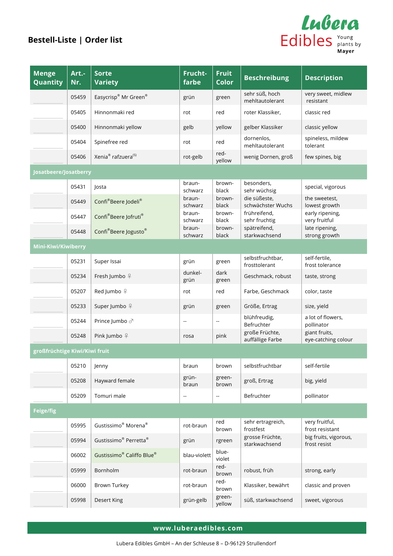

| <b>Menge</b><br>Quantity      | Art .-<br>Nr. | <b>Sorte</b><br><b>Variety</b>                    | Frucht-<br>farbe  | <b>Fruit</b><br><b>Color</b> | <b>Beschreibung</b>                | <b>Description</b>                    |
|-------------------------------|---------------|---------------------------------------------------|-------------------|------------------------------|------------------------------------|---------------------------------------|
|                               | 05459         | Easycrisp® Mr Green®                              | grün              | green                        | sehr süß, hoch<br>mehltautolerant  | very sweet, midlew<br>resistant       |
|                               | 05405         | Hinnonmaki red                                    | rot               | red                          | roter Klassiker,                   | classic red                           |
|                               | 05400         | Hinnonmaki yellow                                 | gelb              | yellow                       | gelber Klassiker                   | classic yellow                        |
|                               | 05404         | Spinefree red                                     | rot               | red                          | dornenlos,<br>mehltautolerant      | spineless, mildew<br>tolerant         |
|                               | 05406         | Xenia <sup>®</sup> rafzuera <sup>(S)</sup>        | rot-gelb          | red-<br>yellow               | wenig Dornen, groß                 | few spines, big                       |
| Josatbeere/Josatberry         |               |                                                   |                   |                              |                                    |                                       |
|                               | 05431         | Josta                                             | braun-<br>schwarz | brown-<br>black              | besonders,<br>sehr wüchsig         | special, vigorous                     |
|                               | 05449         | Confi®Beere Jodeli®                               | braun-<br>schwarz | brown-<br>black              | die süßeste,<br>schwächster Wuchs  | the sweetest,<br>lowest growth        |
|                               | 05447         | Confi®Beere Jofruti®                              | braun-<br>schwarz | brown-<br>black              | frühreifend,<br>sehr fruchtig      | early ripening,<br>very fruitful      |
|                               | 05448         | Confi®Beere Jogusto®                              | braun-<br>schwarz | brown-<br>black              | spätreifend,<br>starkwachsend      | late ripening,<br>strong growth       |
| Mini-Kiwi/Kiwiberry           |               |                                                   |                   |                              |                                    |                                       |
|                               | 05231         | Super Issai                                       | grün              | green                        | selbstfruchtbar,<br>frosttolerant  | self-fertile,<br>frost tolerance      |
|                               | 05234         | Fresh Jumbo º                                     | dunkel-<br>grün   | dark<br>green                | Geschmack, robust                  | taste, strong                         |
|                               | 05207         | Red Jumbo º                                       | rot               | red                          | Farbe, Geschmack                   | color, taste                          |
|                               | 05233         | Super Jumbo º                                     | grün              | green                        | Größe, Ertrag                      | size, yield                           |
|                               | 05244         | Prince Jumbo ♂                                    | $\sim$            | $\overline{\phantom{a}}$     | blühfreudig,<br>Befruchter         | a lot of flowers,<br>pollinator       |
|                               | 05248         | Pink Jumbo 우                                      | rosa              | pink                         | große Früchte,<br>auffällige Farbe | giant fruits,<br>eye-catching colour  |
| großfrüchtige Kiwi/Kiwi fruit |               |                                                   |                   |                              |                                    |                                       |
|                               | 05210         | Jenny                                             | braun             | brown                        | selbstfruchtbar                    | self-fertile                          |
|                               | 05208         | Hayward female                                    | grün-<br>braun    | green-<br>brown              | groß, Ertrag                       | big, yield                            |
|                               | 05209         | Tomuri male                                       | ۰.                | ۰.                           | Befruchter                         | pollinator                            |
| Feige/fig                     |               |                                                   |                   |                              |                                    |                                       |
|                               | 05995         | Gustissimo <sup>®</sup> Morena <sup>®</sup>       | rot-braun         | red<br>brown                 | sehr ertragreich,<br>frostfest     | very fruitful,<br>frost resistant     |
|                               | 05994         | Gustissimo <sup>®</sup> Perretta <sup>®</sup>     | grün              | rgreen                       | grosse Früchte,<br>starkwachsend   | big fruits, vigorous,<br>frost resist |
|                               | 06002         | Gustissimo <sup>®</sup> Califfo Blue <sup>®</sup> | blau-violett      | blue-<br>violet              |                                    |                                       |
|                               | 05999         | Bornholm                                          | rot-braun         | red-<br>brown                | robust, früh                       | strong, early                         |
|                               | 06000         | <b>Brown Turkey</b>                               | rot-braun         | red-<br>brown                | Klassiker, bewährt                 | classic and proven                    |
|                               | 05998         | Desert King                                       | grün-gelb         | green-<br>yellow             | süß, starkwachsend                 | sweet, vigorous                       |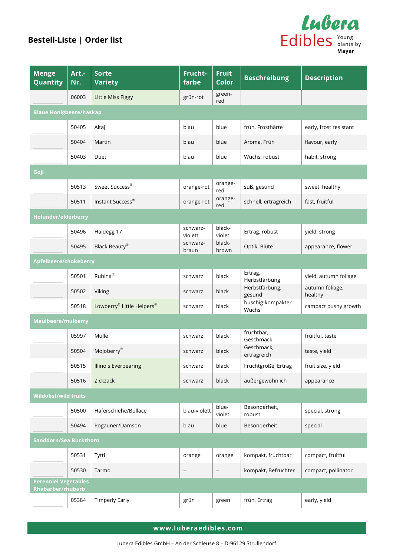

| <b>Menge</b><br><b>Quantity</b>                  | Art .-<br>Nr. | <b>Sorte</b><br><b>Variety</b> | Frucht-<br>farbe         | <b>Fruit</b><br>Color    | <b>Beschreibung</b>        | <b>Description</b>         |  |
|--------------------------------------------------|---------------|--------------------------------|--------------------------|--------------------------|----------------------------|----------------------------|--|
|                                                  | 06003         | Little Miss Figgy              | grün-rot                 | green-<br>red            |                            |                            |  |
| <b>Blaue Honigbeere/haskap</b>                   |               |                                |                          |                          |                            |                            |  |
|                                                  | 50405         | Altaj                          | blau                     | blue                     | früh, Frosthärte           | early, frost resistant     |  |
|                                                  | 50404         | Martin                         | blau                     | blue                     | Aroma, Früh                | flavour, early             |  |
|                                                  | 50403         | Duet                           | blau                     | blue                     | Wuchs, robust              | habit, strong              |  |
| Goji                                             |               |                                |                          |                          |                            |                            |  |
|                                                  | 50513         | Sweet Success®                 | orange-rot               | orange-<br>red           | süß, gesund                | sweet, healthy             |  |
|                                                  | 50511         | Instant Success <sup>®</sup>   | orange-rot               | orange-<br>red           | schnell, ertragreich       | fast, fruitful             |  |
| Holunder/elderberry                              |               |                                |                          |                          |                            |                            |  |
|                                                  | 50496         | Haidegg 17                     | schwarz-<br>violett      | black-<br>violet         | Ertrag, robust             | yield, strong              |  |
|                                                  | 50495         | Black Beauty®                  | schwarz-<br>braun        | black-<br>brown          | Optik, Blüte               | appearance, flower         |  |
| Apfelbeere/chokeberry                            |               |                                |                          |                          |                            |                            |  |
|                                                  | 50501         | Rubina <sup>(S)</sup>          | schwarz                  | black                    | Ertrag,<br>Herbstfärbung   | yield, autumn foliage      |  |
|                                                  | 50502         | Viking                         | schwarz                  | black                    | Herbstfärbung,<br>gesund   | autumn foliage,<br>healthy |  |
|                                                  | 50518         | Lowberry® Little Helpers®      | schwarz                  | black                    | buschig-kompakter<br>Wuchs | campact bushy growth       |  |
| <b>Maulbeere/mulberry</b>                        |               |                                |                          |                          |                            |                            |  |
|                                                  | 05997         | Mulle                          | schwarz                  | black                    | fruchtbar,<br>Geschmack    | fruitful, taste            |  |
|                                                  | 50504         | Mojoberry®                     | schwarz                  | black                    | Geschmack,<br>ertragreich  | taste, yield               |  |
|                                                  | 50515         | <b>Illinois Everbearing</b>    | schwarz                  | black                    | Fruchtgröße, Ertrag        | fruit size, yield          |  |
|                                                  | 50516         | Zickzack                       | schwarz                  | black                    | außergewöhnlich            | appearance                 |  |
| <b>Wildobst/wild fruits</b>                      |               |                                |                          |                          |                            |                            |  |
|                                                  | 50500         | Haferschlehe/Bullace           | blau-violett             | blue-<br>violet          | Besonderheit,<br>robust    | special, strong            |  |
|                                                  | 50494         | Pogauner/Damson                | blau                     | blue                     | Besonderheit               | special                    |  |
| Sanddorn/Sea Buckthorn                           |               |                                |                          |                          |                            |                            |  |
|                                                  | 50531         | Tytti                          | orange                   | orange                   | kompakt, fruchtbar         | compact, fruitful          |  |
|                                                  | 50530         | Tarmo                          | $\overline{\phantom{a}}$ | $\overline{\phantom{a}}$ | kompakt, Befruchter        | compact, pollinator        |  |
| <b>Perenniel Vegetables</b><br>Rhabarber/rhubarb |               |                                |                          |                          |                            |                            |  |
|                                                  | 05384         | <b>Timperly Early</b>          | grün                     | green                    | früh, Ertrag               | early, yield               |  |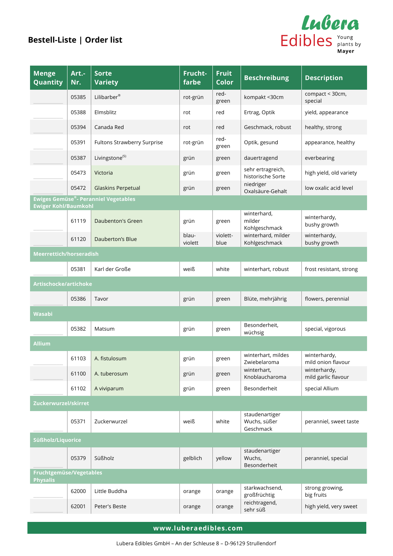

| <b>Menge</b><br>Quantity                   | Art .-<br>Nr. | <b>Sorte</b><br><b>Variety</b>       | Frucht-<br>farbe | <b>Fruit</b><br><b>Color</b> | <b>Beschreibung</b>                         | <b>Description</b>                  |
|--------------------------------------------|---------------|--------------------------------------|------------------|------------------------------|---------------------------------------------|-------------------------------------|
|                                            | 05385         | Lilibarber <sup>®</sup>              | rot-grün         | red-<br>green                | kompakt <30cm                               | compact < 30cm,<br>special          |
|                                            | 05388         | Elmsblitz                            | rot              | red                          | Ertrag, Optik                               | yield, appearance                   |
|                                            | 05394         | Canada Red                           | rot              | red                          | Geschmack, robust                           | healthy, strong                     |
|                                            | 05391         | Fultons Strawberry Surprise          | rot-grün         | red-<br>green                | Optik, gesund                               | appearance, healthy                 |
|                                            | 05387         | Livingstone <sup>(S)</sup>           | grün             | green                        | dauertragend                                | everbearing                         |
|                                            | 05473         | Victoria                             | grün             | green                        | sehr ertragreich,<br>historische Sorte      | high yield, old variety             |
|                                            | 05472         | <b>Glaskins Perpetual</b>            | grün             | green                        | niedriger<br>Oxalsäure-Gehalt               | low oxalic acid level               |
| <b>Ewiger Kohl/Baumkohl</b>                |               | Ewiges Gemüse®- Peranniel Vegetables |                  |                              |                                             |                                     |
|                                            | 61119         | Daubenton's Green                    | grün             | green                        | winterhard,<br>milder<br>Kohlgeschmack      | winterhardy,<br>bushy growth        |
|                                            | 61120         | Dauberton's Blue                     | blau-<br>violett | violett-<br>blue             | winterhard, milder<br>Kohlgeschmack         | winterhardy,<br>bushy growth        |
| Meerrettich/horseradish                    |               |                                      |                  |                              |                                             |                                     |
|                                            | 05381         | Karl der Große                       | weiß             | white                        | winterhart, robust                          | frost resistant, strong             |
| Artischocke/artichoke                      |               |                                      |                  |                              |                                             |                                     |
|                                            | 05386         | Tavor                                | grün             | green                        | Blüte, mehrjährig                           | flowers, perennial                  |
| Wasabi                                     |               |                                      |                  |                              |                                             |                                     |
|                                            | 05382         | Matsum                               | grün             | green                        | Besonderheit,<br>wüchsig                    | special, vigorous                   |
| <b>Allium</b>                              |               |                                      |                  |                              |                                             |                                     |
|                                            | 61103         | A. fistulosum                        | grün             | green                        | winterhart, mildes<br>Zwiebelaroma          | winterhardy,<br>mild onion flavour  |
|                                            | 61100         | A. tuberosum                         | grün             | green                        | winterhart,<br>Knoblaucharoma               | winterhardy,<br>mild garlic flavour |
|                                            | 61102         | A viviparum                          | grün             | green                        | Besonderheit                                | special Allium                      |
| Zuckerwurzel/skirret                       |               |                                      |                  |                              |                                             |                                     |
|                                            | 05371         | Zuckerwurzel                         | weiß             | white                        | staudenartiger<br>Wuchs, süßer<br>Geschmack | peranniel, sweet taste              |
| Süßholz/Liquorice                          |               |                                      |                  |                              |                                             |                                     |
|                                            | 05379         | Süßholz                              | gelblich         | yellow                       | staudenartiger<br>Wuchs,<br>Besonderheit    | peranniel, special                  |
| Fruchtgemüse/Vegetables<br><b>Physalis</b> |               |                                      |                  |                              |                                             |                                     |
|                                            | 62000         | Little Buddha                        | orange           | orange                       | starkwachsend,<br>großfrüchtig              | strong growing,<br>big fruits       |
|                                            | 62001         | Peter's Beste                        | orange           | orange                       | reichtragend,<br>sehr süß                   | high yield, very sweet              |